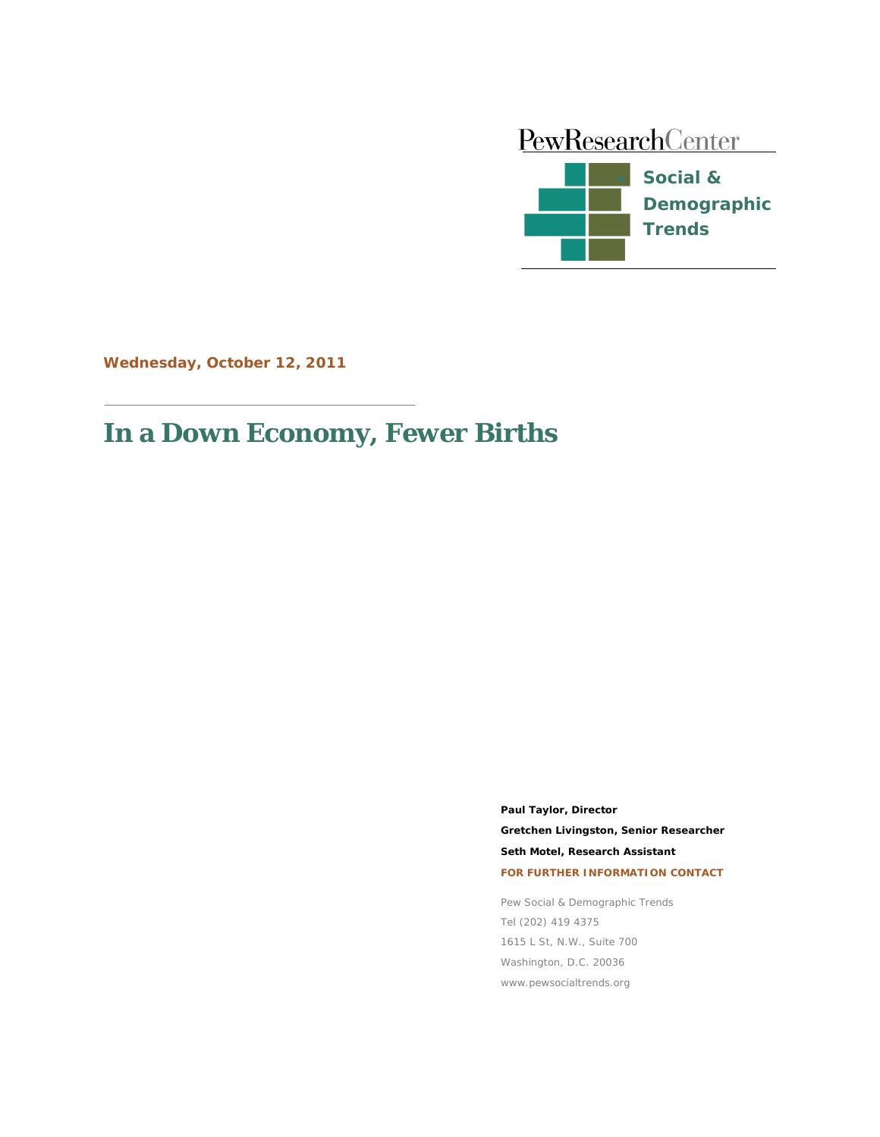

**Wednesday, October 12, 2011**

# **In a Down Economy, Fewer Births**

**Paul Taylor, Director Gretchen Livingston, Senior Researcher Seth Motel, Research Assistant FOR FURTHER INFORMATION CONTACT**

Pew Social & Demographic Trends Tel (202) 419 4375 1615 L St, N.W., Suite 700 Washington, D.C. 20036 www.pewsocialtrends.org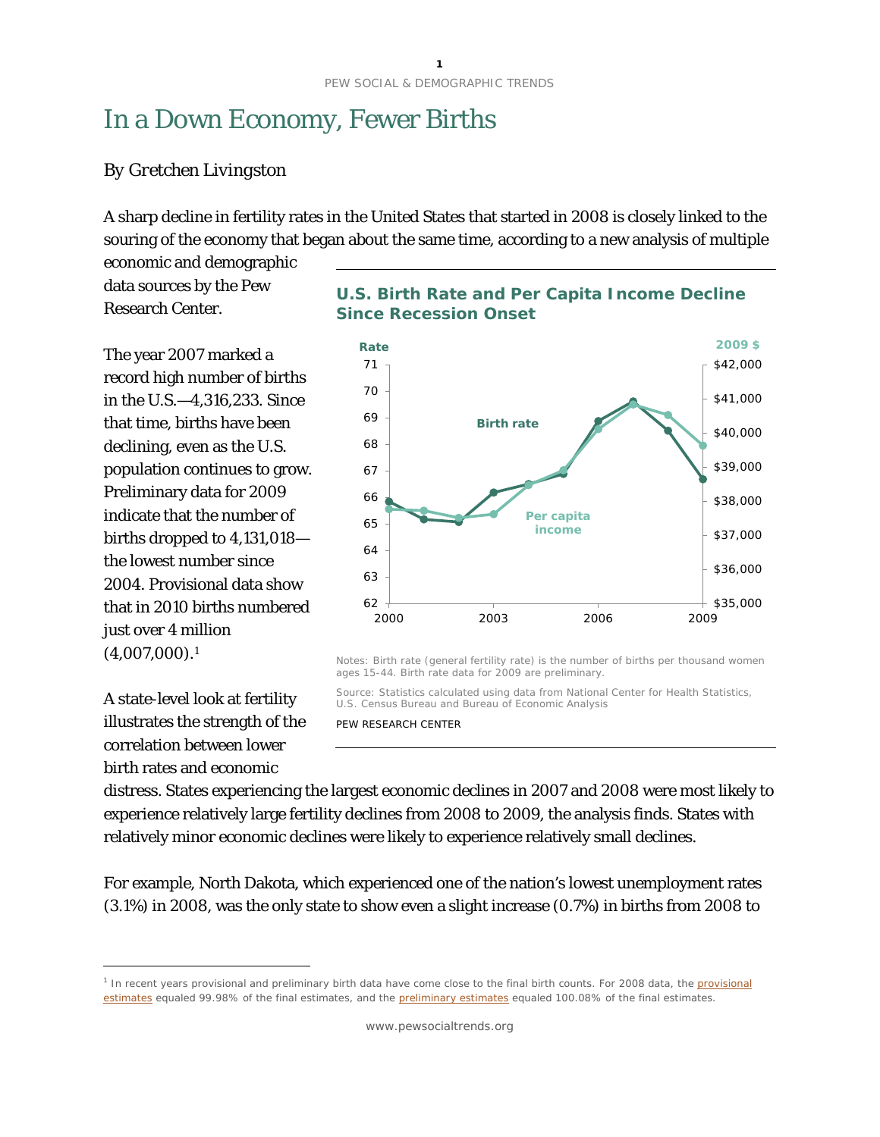# In a Down Economy, Fewer Births

#### *By Gretchen Livingston*

A sharp decline in fertility rates in the United States that started in 2008 is closely linked to the souring of the economy that began about the same time, according to a new analysis of multiple

economic and demographic data sources by the Pew Research Center.

The year 2007 marked a record high number of births in the U.S.—4,316,233. Since that time, births have been declining, even as the U.S. population continues to grow. Preliminary data for 2009 indicate that the number of births dropped to 4,131,018 the lowest number since 2004. Provisional data show that in 2010 births numbered just over 4 million  $(4,007,000).$ <sup>[1](#page-1-0)</sup>

A state-level look at fertility illustrates the strength of the correlation between lower birth rates and economic

 $\overline{a}$ 





Notes: Birth rate (general fertility rate) is the number of births per thousand women ages 15-44. Birth rate data for 2009 are preliminary.

Source: Statistics calculated using data from National Center for Health Statistics, U.S. Census Bureau and Bureau of Economic Analysis

PEW RESEARCH CENTER

distress. States experiencing the largest economic declines in 2007 and 2008 were most likely to experience relatively large fertility declines from 2008 to 2009, the analysis finds. States with relatively minor economic declines were likely to experience relatively small declines.

For example, North Dakota, which experienced one of the nation's lowest unemployment rates (3.1%) in 2008, was the only state to show even a slight increase (0.7%) in births from 2008 to

<span id="page-1-0"></span><sup>&</sup>lt;sup>1</sup> In recent years [provisional](http://www.cdc.gov/nchs/data/nvsr/nvsr57/nvsr57_19.htm) and preliminary birth data have come close to the final birth counts. For 2008 data, the provisional [estimates](http://www.cdc.gov/nchs/data/nvsr/nvsr57/nvsr57_19.htm) equaled 99.98% of the final estimates, and th[e preliminary estimates](http://www.cdc.gov/nchs/data/nvsr/nvsr58/nvsr58_16.pdf) equaled 100.08% of the final estimates.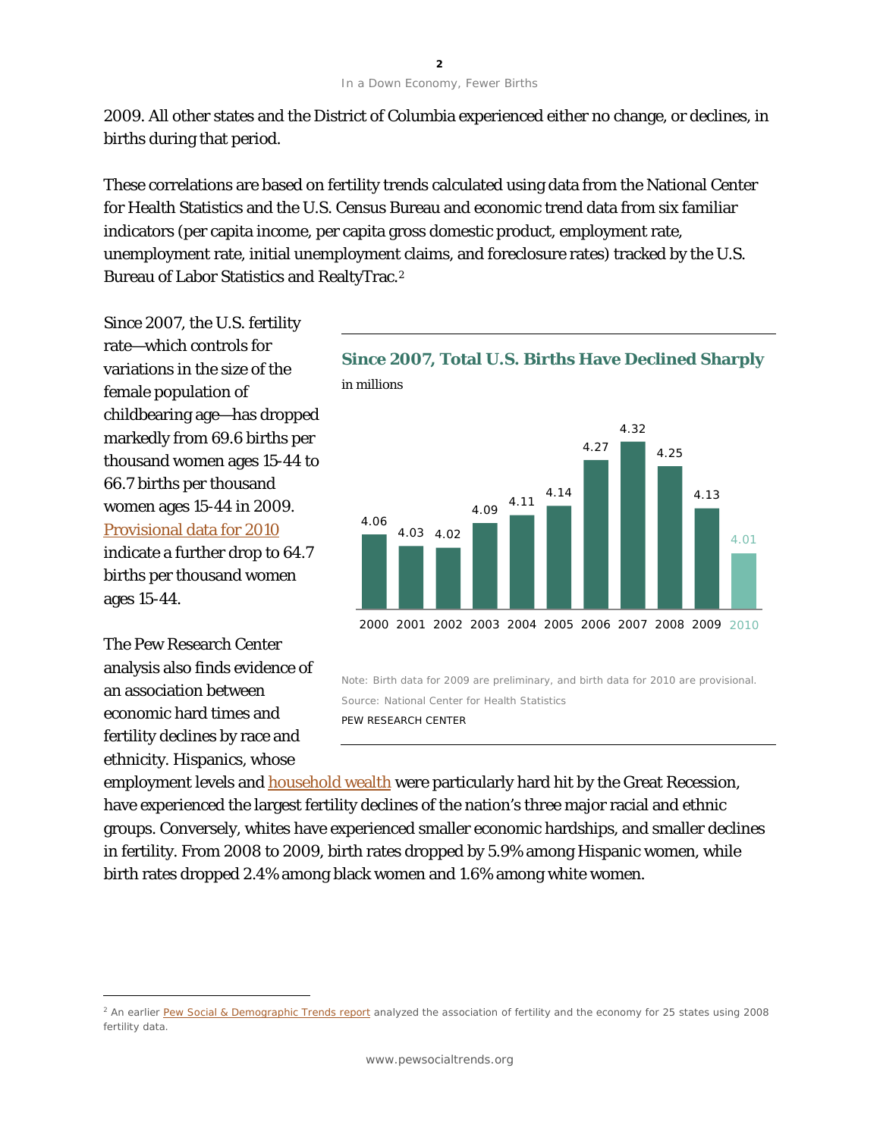2009. All other states and the District of Columbia experienced either no change, or declines, in births during that period.

These correlations are based on fertility trends calculated using data from the National Center for Health Statistics and the U.S. Census Bureau and economic trend data from six familiar indicators (per capita income, per capita gross domestic product, employment rate, unemployment rate, initial unemployment claims, and foreclosure rates) tracked by the U.S. Bureau of Labor Statistics and RealtyTrac.[2](#page-2-0)

Since 2007, the U.S. fertility rate—which controls for variations in the size of the female population of childbearing age—has dropped markedly from 69.6 births per thousand women ages 15-44 to 66.7 births per thousand women ages 15-44 in 2009. [Provisional data for 2010](http://www.cdc.gov/nchs/data/hestat/births_fertility_2010/births_fertility_2010.htm) indicate a further drop to 64.7 births per thousand women ages 15-44.

The Pew Research Center analysis also finds evidence of an association between economic hard times and fertility declines by race and ethnicity. Hispanics, whose

 $\overline{a}$ 



Note: Birth data for 2009 are preliminary, and birth data for 2010 are provisional. Source: National Center for Health Statistics PEW RESEARCH CENTER

employment levels and [household wealth](http://pewhispanic.org/reports/report.php?ReportID=145) were particularly hard hit by the Great Recession, have experienced the largest fertility declines of the nation's three major racial and ethnic groups. Conversely, whites have experienced smaller economic hardships, and smaller declines in fertility. From 2008 to 2009, birth rates dropped by 5.9% among Hispanic women, while birth rates dropped 2.4% among black women and 1.6% among white women.

<span id="page-2-0"></span><sup>&</sup>lt;sup>2</sup> An earlier [Pew Social & Demographic Trends](http://pewresearch.org/pubs/1552/birth-rates-united-states-decline-recession) report analyzed the association of fertility and the economy for 25 states using 2008 fertility data.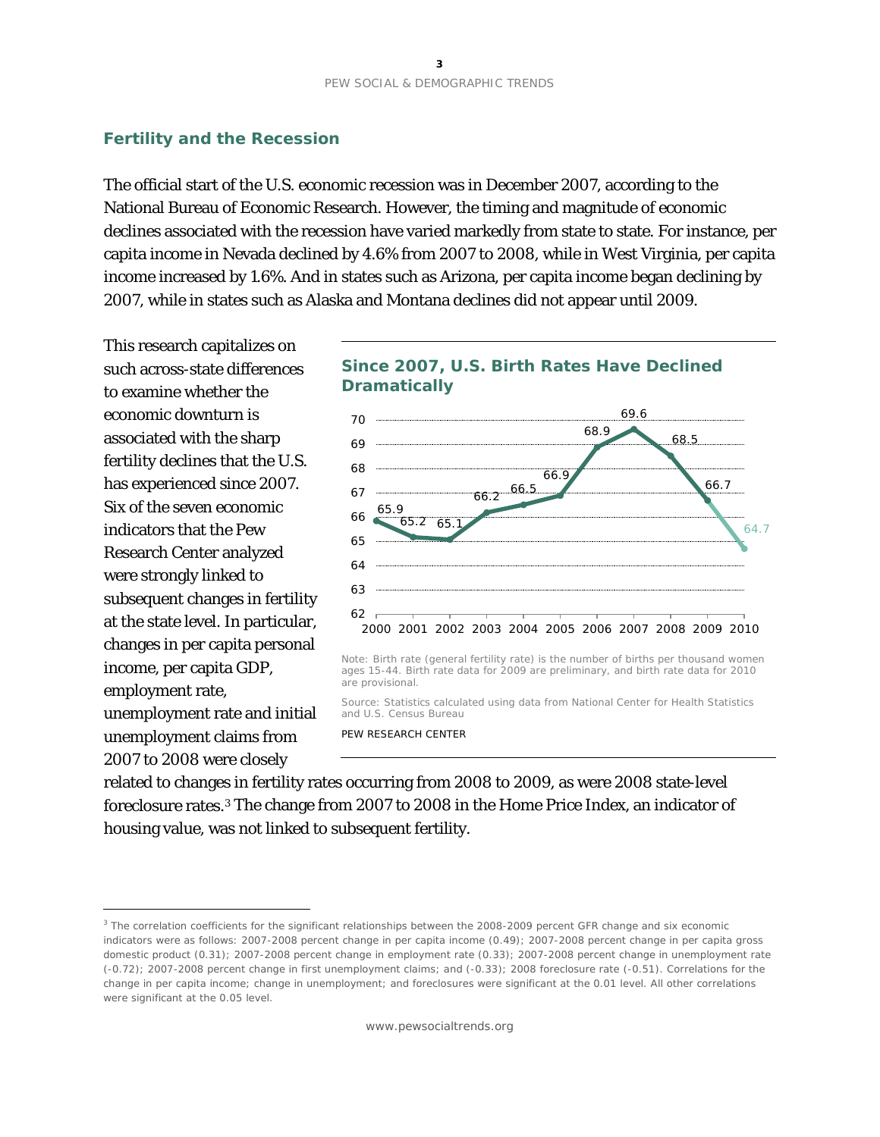#### **Fertility and the Recession**

The official start of the U.S. economic recession was in December 2007, according to the National Bureau of Economic Research. However, the timing and magnitude of economic declines associated with the recession have varied markedly from state to state. For instance, per capita income in Nevada declined by 4.6% from 2007 to 2008, while in West Virginia, per capita income increased by 1.6%. And in states such as Arizona, per capita income began declining by 2007, while in states such as Alaska and Montana declines did not appear until 2009.

This research capitalizes on such across-state differences to examine whether the economic downturn is associated with the sharp fertility declines that the U.S. has experienced since 2007. Six of the seven economic indicators that the Pew Research Center analyzed were strongly linked to subsequent changes in fertility at the state level. In particular, changes in per capita personal income, per capita GDP, employment rate, unemployment rate and initial unemployment claims from 2007 to 2008 were closely

 $\overline{a}$ 





Note: Birth rate (general fertility rate) is the number of births per thousand women ages 15-44. Birth rate data for 2009 are preliminary, and birth rate data for 2010 are provisional.

Source: Statistics calculated using data from National Center for Health Statistics and U.S. Census Bureau

PEW RESEARCH CENTER

related to changes in fertility rates occurring from 2008 to 2009, as were 2008 state-level foreclosure rates.[3](#page-3-0) The change from 2007 to 2008 in the Home Price Index, an indicator of housing value, was not linked to subsequent fertility.

<span id="page-3-0"></span><sup>&</sup>lt;sup>3</sup> The correlation coefficients for the significant relationships between the 2008-2009 percent GFR change and six economic indicators were as follows: 2007-2008 percent change in per capita income (0.49); 2007-2008 percent change in per capita gross domestic product (0.31); 2007-2008 percent change in employment rate (0.33); 2007-2008 percent change in unemployment rate (-0.72); 2007-2008 percent change in first unemployment claims; and (-0.33); 2008 foreclosure rate (-0.51). Correlations for the change in per capita income; change in unemployment; and foreclosures were significant at the 0.01 level. All other correlations were significant at the 0.05 level.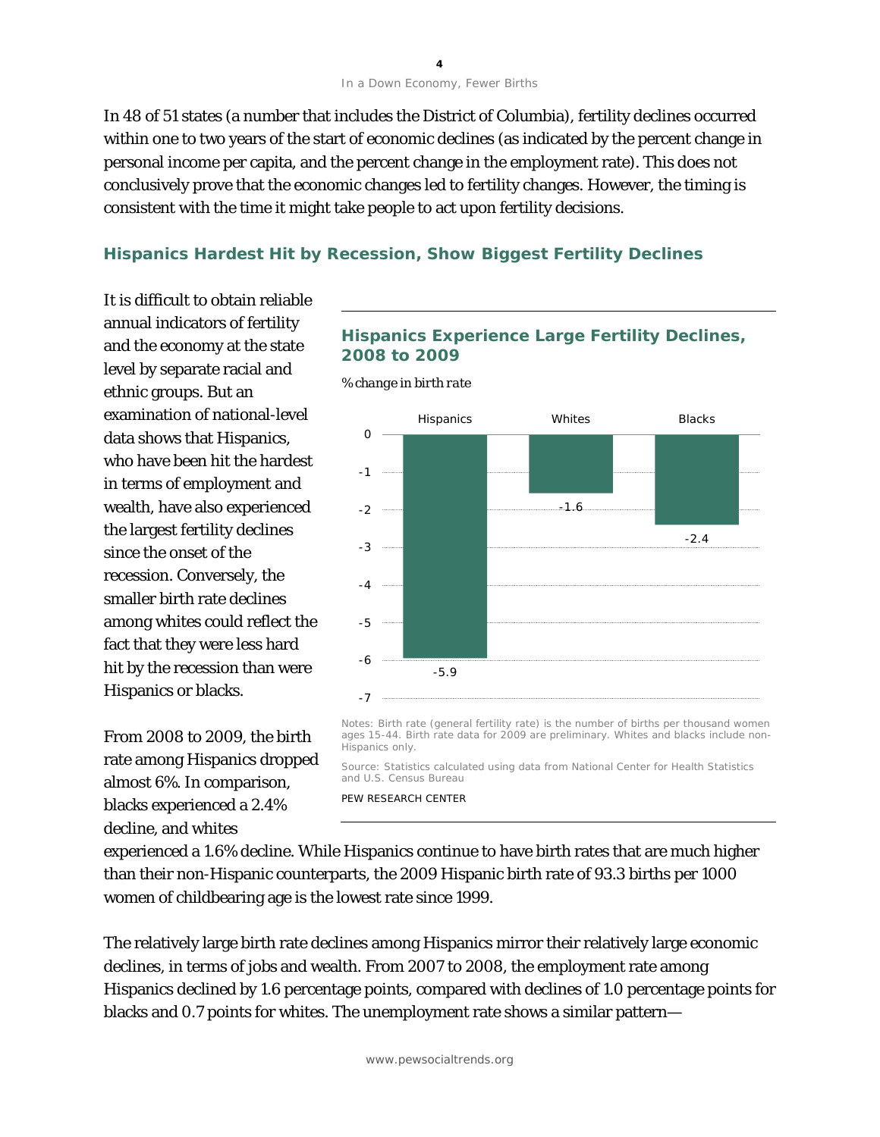#### In a Down Economy, Fewer Births

In 48 of 51 states (a number that includes the District of Columbia), fertility declines occurred within one to two years of the start of economic declines (as indicated by the percent change in personal income per capita, and the percent change in the employment rate). This does not conclusively prove that the economic changes led to fertility changes. However, the timing is consistent with the time it might take people to act upon fertility decisions.

#### **Hispanics Hardest Hit by Recession, Show Biggest Fertility Declines**

It is difficult to obtain reliable annual indicators of fertility and the economy at the state level by separate racial and ethnic groups. But an examination of national-level data shows that Hispanics, who have been hit the hardest in terms of employment and wealth, have also experienced the largest fertility declines since the onset of the recession. Conversely, the smaller birth rate declines among whites could reflect the fact that they were less hard hit by the recession than were Hispanics or blacks.

From 2008 to 2009, the birth rate among Hispanics dropped almost 6%. In comparison, blacks experienced a 2.4% decline, and whites

#### **Hispanics Experience Large Fertility Declines, 2008 to 2009**

*% change in birth rate*



Notes: Birth rate (general fertility rate) is the number of births per thousand women ages 15-44. Birth rate data for 2009 are preliminary. Whites and blacks include non-Hispanics only.

Source: Statistics calculated using data from National Center for Health Statistics and U.S. Census Bureau

PEW RESEARCH CENTER

experienced a 1.6% decline. While Hispanics continue to have birth rates that are much higher than their non-Hispanic counterparts, the 2009 Hispanic birth rate of 93.3 births per 1000 women of childbearing age is the lowest rate since 1999.

The relatively large birth rate declines among Hispanics mirror their relatively large economic declines, in terms of jobs and wealth. From 2007 to 2008, the employment rate among Hispanics declined by 1.6 percentage points, compared with declines of 1.0 percentage points for blacks and 0.7 points for whites. The unemployment rate shows a similar pattern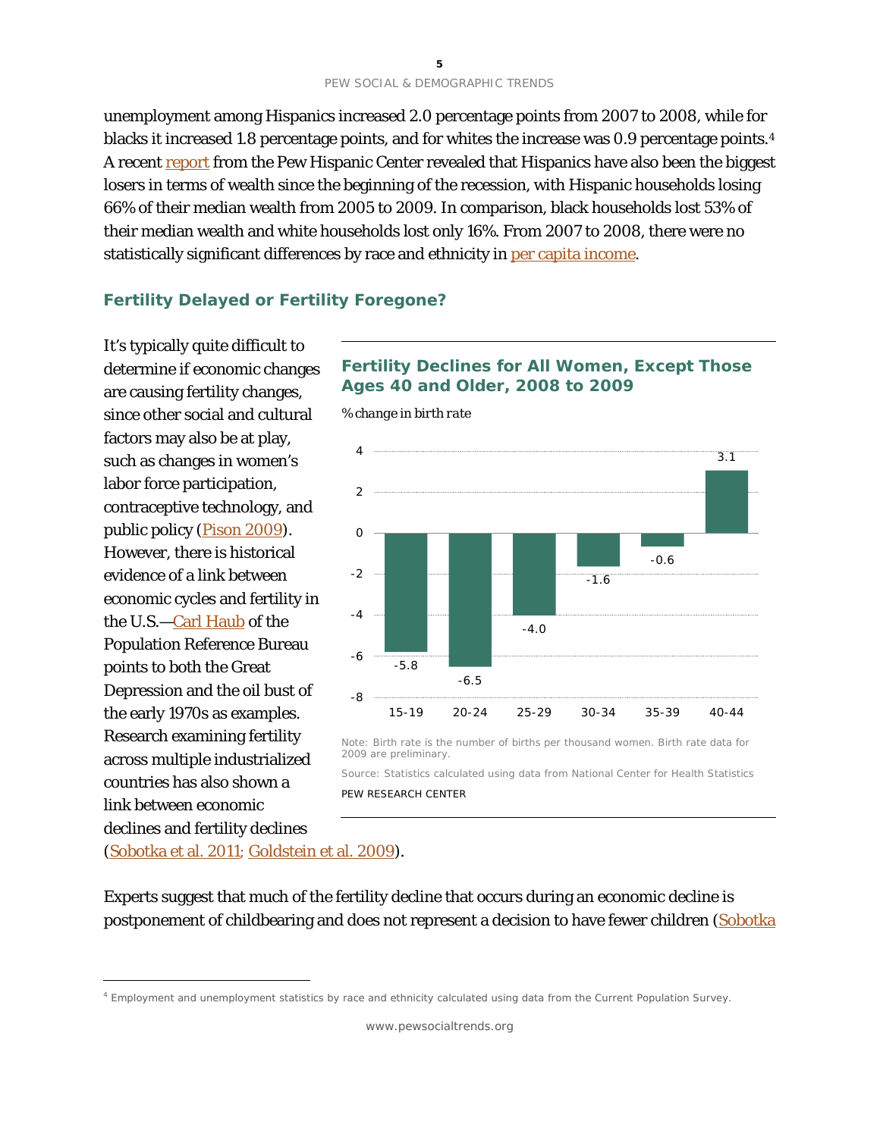unemployment among Hispanics increased 2.0 percentage points from 2007 to 2008, while for blacks it increased 1.8 percentage points, and for whites the increase was 0.9 percentage points.<sup>[4](#page-5-0)</sup> A recent [report](http://pewhispanic.org/reports/report.php?ReportID=145) from the Pew Hispanic Center revealed that Hispanics have also been the biggest losers in terms of wealth since the beginning of the recession, with Hispanic households losing 66% of their median wealth from 2005 to 2009. In comparison, black households lost 53% of their median wealth and white households lost only 16%. From 2007 to 2008, there were no statistically significant differences by race and ethnicity in [per capita income.](http://www.census.gov/hhes/www/poverty/data/incpovhlth/2009/index.html)

### **Fertility Delayed or Fertility Foregone?**

It's typically quite difficult to determine if economic changes are causing fertility changes, since other social and cultural factors may also be at play, such as changes in women's labor force participation, contraceptive technology, and public policy [\(Pison](http://www.ined.fr/en/publications/pop_soc/bdd/publication/1536/) 2009). However, there is historical evidence of a link between economic cycles and fertility in the U.S.[—Carl Haub](http://prbblog.org/?p=34) of the Population Reference Bureau points to both the Great Depression and the oil bust of the early 1970s as examples. Research examining fertility across multiple industrialized countries has also shown a link between economic declines and fertility declines

# **Fertility Declines for All Women, Except Those Ages 40 and Older, 2008 to 2009**



*% change in birth rate*

Note: Birth rate is the number of births per thousand women. Birth rate data for 2009 are preliminary.

Source: Statistics calculated using data from National Center for Health Statistics PEW RESEARCH CENTER

[\(Sobotka et al. 2011;](http://onlinelibrary.wiley.com/doi/10.1111/j.1728-4457.2011.00411.x/abstract) [Goldstein et al.](http://onlinelibrary.wiley.com/doi/10.1111/j.1728-4457.2009.00304.x/abstract) 2009).

 $\overline{a}$ 

Experts suggest that much of the fertility decline that occurs during an economic decline is postponement of childbearing and does not represent a decision to have fewer children (Sobotka

<span id="page-5-0"></span><sup>4</sup> Employment and unemployment statistics by race and ethnicity calculated using data from the Current Population Survey.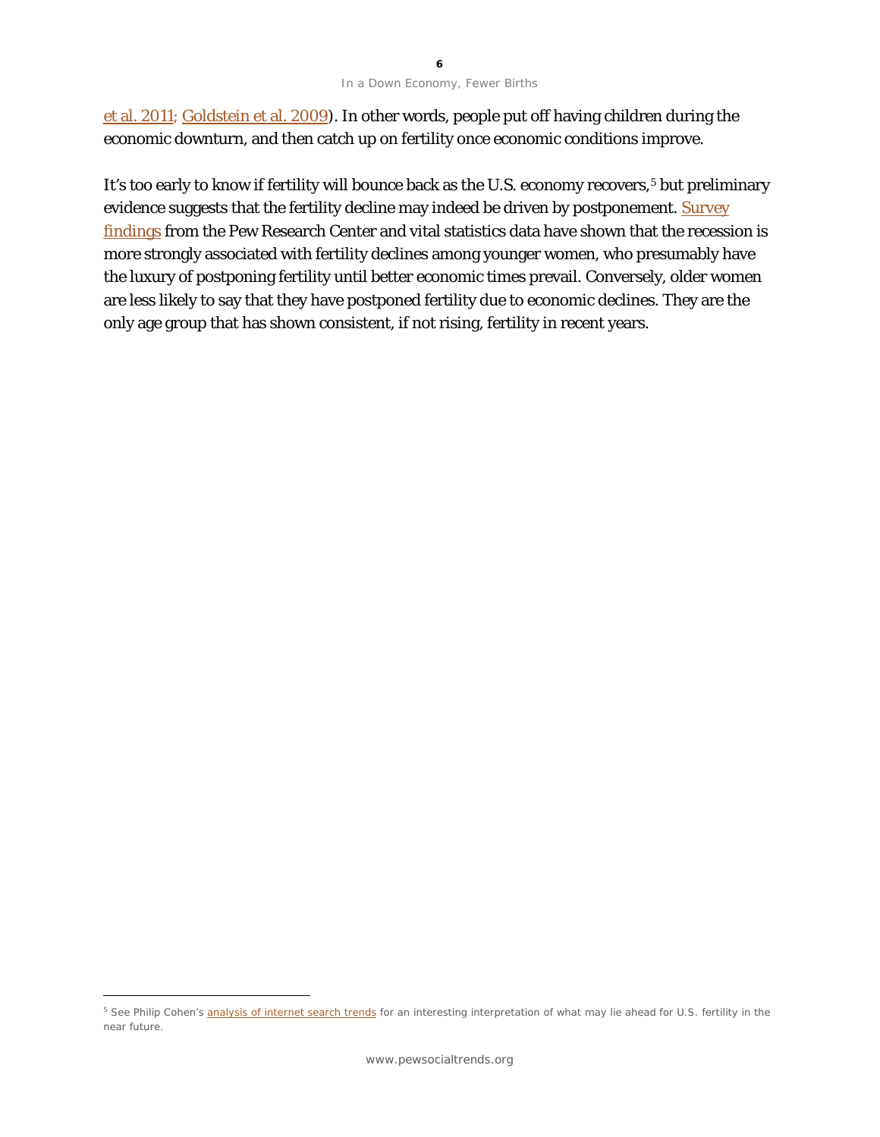#### In a Down Economy, Fewer Births

et al. 2011; [Goldstein et al. 2009\)](http://onlinelibrary.wiley.com/doi/10.1111/j.1728-4457.2009.00304.x/abstract). In other words, people put off having children during the economic downturn, and then catch up on fertility once economic conditions improve.

It's too early to know if fertility will bounce back as the U.S. economy recovers,[5](#page-6-0) but preliminary evidence suggests that the fertility decline may indeed be driven by postponement. <u>Survey</u> [findings](http://pewsocialtrends.org/2010/04/06/us-birth-rate-decline-linked-to-recession/) from the Pew Research Center and vital statistics data have shown that the recession is more strongly associated with fertility declines among younger women, who presumably have the luxury of postponing fertility until better economic times prevail. Conversely, older women are less likely to say that they have postponed fertility due to economic declines. They are the only age group that has shown consistent, if not rising, fertility in recent years.

 $\overline{a}$ 

<span id="page-6-0"></span><sup>&</sup>lt;sup>5</sup> See Philip Cohen's [analysis of internet search trends](http://familyinequality.wordpress.com/2011/08/19/is-fertility-ready-to-rebound/) for an interesting interpretation of what may lie ahead for U.S. fertility in the near future.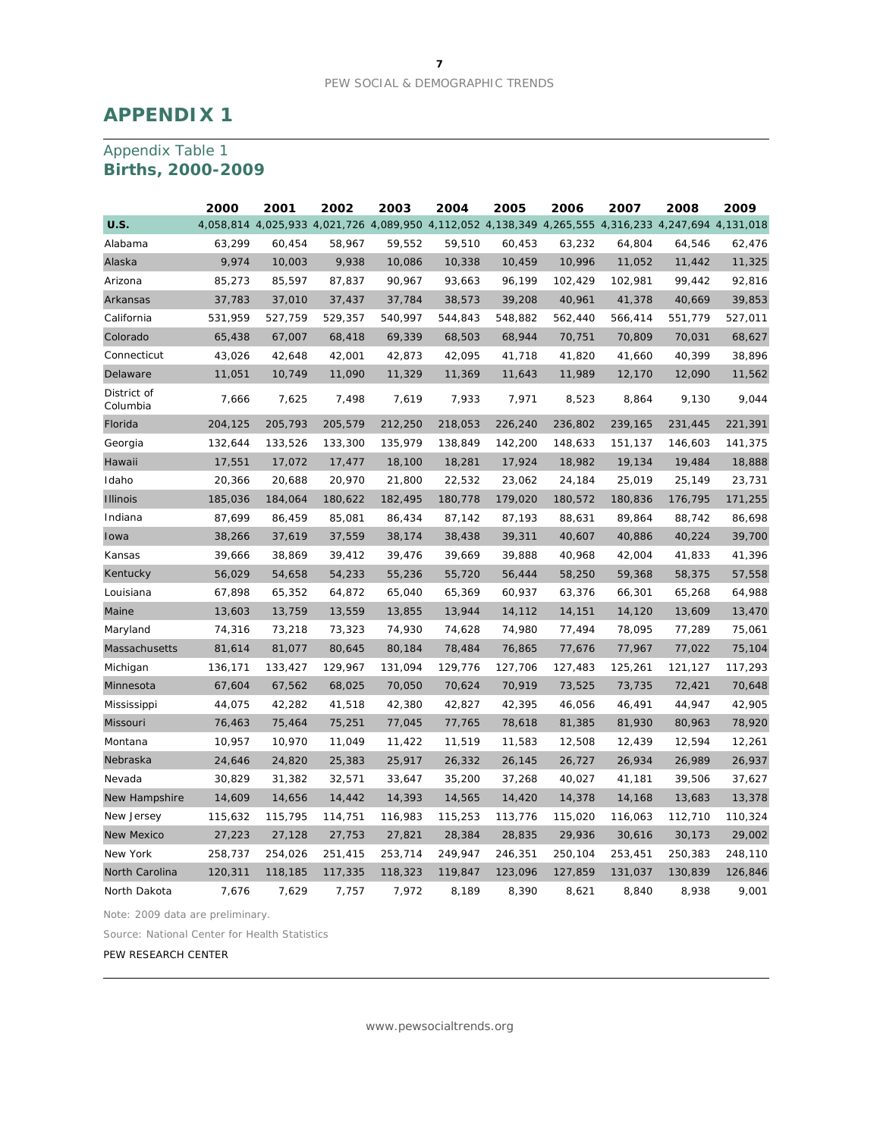# **APPENDIX 1**

## Appendix Table 1 **Births, 2000-2009**

|                         | 2000    | 2001    | 2002    | 2003    | 2004                                                                                                | 2005    | 2006    | 2007    | 2008    | 2009    |
|-------------------------|---------|---------|---------|---------|-----------------------------------------------------------------------------------------------------|---------|---------|---------|---------|---------|
| <b>U.S.</b>             |         |         |         |         | 4,058,814 4,025,933 4,021,726 4,089,950 4,112,052 4,138,349 4,265,555 4,316,233 4,247,694 4,131,018 |         |         |         |         |         |
| Alabama                 | 63,299  | 60,454  | 58,967  | 59,552  | 59,510                                                                                              | 60,453  | 63,232  | 64,804  | 64,546  | 62,476  |
| Alaska                  | 9,974   | 10,003  | 9,938   | 10,086  | 10,338                                                                                              | 10,459  | 10,996  | 11,052  | 11,442  | 11,325  |
| Arizona                 | 85,273  | 85,597  | 87,837  | 90,967  | 93,663                                                                                              | 96,199  | 102,429 | 102,981 | 99,442  | 92,816  |
| Arkansas                | 37,783  | 37,010  | 37,437  | 37,784  | 38,573                                                                                              | 39,208  | 40,961  | 41,378  | 40,669  | 39,853  |
| California              | 531,959 | 527,759 | 529,357 | 540,997 | 544,843                                                                                             | 548,882 | 562,440 | 566,414 | 551,779 | 527,011 |
| Colorado                | 65,438  | 67,007  | 68,418  | 69,339  | 68,503                                                                                              | 68,944  | 70,751  | 70,809  | 70,031  | 68,627  |
| Connecticut             | 43,026  | 42,648  | 42,001  | 42,873  | 42,095                                                                                              | 41,718  | 41,820  | 41,660  | 40,399  | 38,896  |
| Delaware                | 11,051  | 10,749  | 11,090  | 11,329  | 11,369                                                                                              | 11,643  | 11,989  | 12,170  | 12,090  | 11,562  |
| District of<br>Columbia | 7,666   | 7,625   | 7,498   | 7,619   | 7,933                                                                                               | 7,971   | 8,523   | 8,864   | 9,130   | 9,044   |
| Florida                 | 204,125 | 205,793 | 205,579 | 212,250 | 218,053                                                                                             | 226,240 | 236,802 | 239,165 | 231,445 | 221,391 |
| Georgia                 | 132,644 | 133,526 | 133,300 | 135,979 | 138,849                                                                                             | 142,200 | 148,633 | 151,137 | 146,603 | 141,375 |
| Hawaii                  | 17,551  | 17,072  | 17,477  | 18,100  | 18,281                                                                                              | 17,924  | 18,982  | 19,134  | 19,484  | 18,888  |
| Idaho                   | 20,366  | 20,688  | 20,970  | 21,800  | 22,532                                                                                              | 23,062  | 24,184  | 25,019  | 25,149  | 23,731  |
| <b>Illinois</b>         | 185,036 | 184,064 | 180,622 | 182,495 | 180,778                                                                                             | 179,020 | 180,572 | 180,836 | 176,795 | 171,255 |
| Indiana                 | 87,699  | 86,459  | 85,081  | 86,434  | 87,142                                                                                              | 87,193  | 88,631  | 89,864  | 88,742  | 86,698  |
| Iowa                    | 38,266  | 37,619  | 37,559  | 38,174  | 38,438                                                                                              | 39,311  | 40,607  | 40,886  | 40,224  | 39,700  |
| Kansas                  | 39,666  | 38,869  | 39,412  | 39,476  | 39,669                                                                                              | 39,888  | 40,968  | 42,004  | 41,833  | 41,396  |
| Kentucky                | 56,029  | 54,658  | 54,233  | 55,236  | 55,720                                                                                              | 56,444  | 58,250  | 59,368  | 58,375  | 57,558  |
| Louisiana               | 67,898  | 65,352  | 64,872  | 65,040  | 65,369                                                                                              | 60,937  | 63,376  | 66,301  | 65,268  | 64,988  |
| Maine                   | 13,603  | 13,759  | 13,559  | 13,855  | 13,944                                                                                              | 14,112  | 14,151  | 14,120  | 13,609  | 13,470  |
| Maryland                | 74,316  | 73,218  | 73,323  | 74,930  | 74,628                                                                                              | 74,980  | 77,494  | 78,095  | 77,289  | 75,061  |
| Massachusetts           | 81,614  | 81,077  | 80,645  | 80,184  | 78,484                                                                                              | 76,865  | 77,676  | 77,967  | 77,022  | 75,104  |
| Michigan                | 136,171 | 133,427 | 129,967 | 131,094 | 129,776                                                                                             | 127,706 | 127,483 | 125,261 | 121,127 | 117,293 |
| Minnesota               | 67,604  | 67,562  | 68,025  | 70,050  | 70,624                                                                                              | 70,919  | 73,525  | 73,735  | 72,421  | 70,648  |
| Mississippi             | 44,075  | 42,282  | 41,518  | 42,380  | 42,827                                                                                              | 42,395  | 46,056  | 46,491  | 44,947  | 42,905  |
| Missouri                | 76,463  | 75,464  | 75,251  | 77,045  | 77,765                                                                                              | 78,618  | 81,385  | 81,930  | 80,963  | 78,920  |
| Montana                 | 10,957  | 10,970  | 11,049  | 11,422  | 11,519                                                                                              | 11,583  | 12,508  | 12,439  | 12,594  | 12,261  |
| Nebraska                | 24,646  | 24,820  | 25,383  | 25,917  | 26,332                                                                                              | 26,145  | 26,727  | 26,934  | 26,989  | 26,937  |
| Nevada                  | 30,829  | 31,382  | 32,571  | 33,647  | 35,200                                                                                              | 37,268  | 40,027  | 41,181  | 39,506  | 37,627  |
| New Hampshire           | 14,609  | 14,656  | 14,442  | 14,393  | 14,565                                                                                              | 14,420  | 14,378  | 14,168  | 13,683  | 13,378  |
| New Jersey              | 115,632 | 115,795 | 114,751 | 116,983 | 115,253                                                                                             | 113,776 | 115,020 | 116,063 | 112,710 | 110,324 |
| <b>New Mexico</b>       | 27,223  | 27,128  | 27,753  | 27,821  | 28,384                                                                                              | 28,835  | 29,936  | 30,616  | 30,173  | 29,002  |
| New York                | 258,737 | 254,026 | 251,415 | 253,714 | 249,947                                                                                             | 246,351 | 250,104 | 253,451 | 250,383 | 248,110 |
| North Carolina          | 120,311 | 118,185 | 117,335 | 118,323 | 119,847                                                                                             | 123,096 | 127,859 | 131,037 | 130,839 | 126,846 |
| North Dakota            | 7,676   | 7,629   | 7,757   | 7,972   | 8,189                                                                                               | 8,390   | 8,621   | 8,840   | 8,938   | 9,001   |

Note: 2009 data are preliminary.

Source: National Center for Health Statistics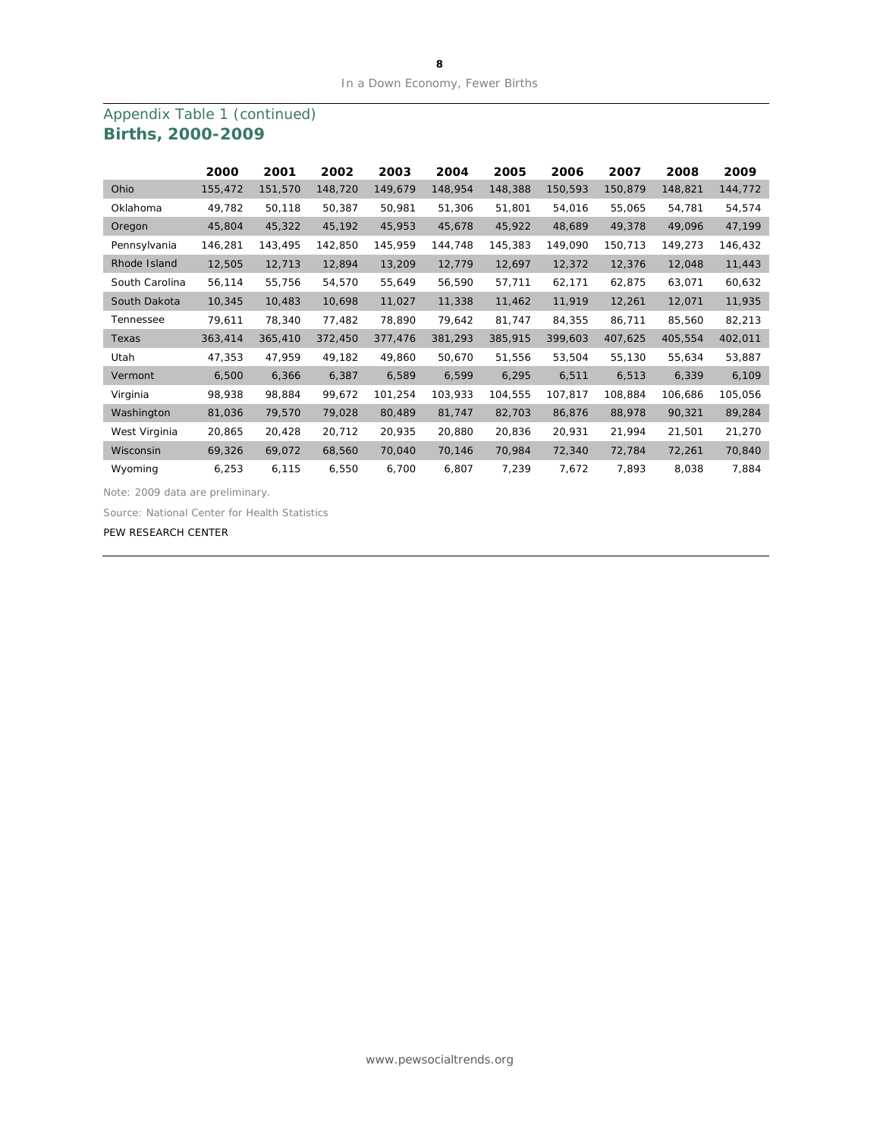# Appendix Table 1 (continued) **Births, 2000-2009**

|                | 2000    | 2001    | 2002    | 2003    | 2004    | 2005    | 2006    | 2007    | 2008    | 2009    |
|----------------|---------|---------|---------|---------|---------|---------|---------|---------|---------|---------|
| Ohio           | 155,472 | 151,570 | 148,720 | 149,679 | 148,954 | 148,388 | 150,593 | 150,879 | 148,821 | 144,772 |
| Oklahoma       | 49,782  | 50,118  | 50,387  | 50,981  | 51,306  | 51,801  | 54,016  | 55,065  | 54,781  | 54,574  |
| Oregon         | 45,804  | 45,322  | 45,192  | 45,953  | 45,678  | 45,922  | 48,689  | 49,378  | 49,096  | 47,199  |
| Pennsylvania   | 146,281 | 143,495 | 142,850 | 145,959 | 144,748 | 145,383 | 149,090 | 150,713 | 149,273 | 146,432 |
| Rhode Island   | 12,505  | 12,713  | 12,894  | 13,209  | 12,779  | 12,697  | 12,372  | 12,376  | 12,048  | 11,443  |
| South Carolina | 56,114  | 55,756  | 54,570  | 55,649  | 56,590  | 57,711  | 62,171  | 62,875  | 63,071  | 60,632  |
| South Dakota   | 10,345  | 10,483  | 10,698  | 11,027  | 11,338  | 11,462  | 11,919  | 12,261  | 12,071  | 11,935  |
| Tennessee      | 79,611  | 78,340  | 77,482  | 78,890  | 79,642  | 81,747  | 84,355  | 86,711  | 85,560  | 82,213  |
| Texas          | 363,414 | 365,410 | 372,450 | 377,476 | 381,293 | 385,915 | 399,603 | 407,625 | 405,554 | 402,011 |
| Utah           | 47,353  | 47,959  | 49,182  | 49,860  | 50,670  | 51,556  | 53,504  | 55,130  | 55,634  | 53,887  |
| Vermont        | 6,500   | 6,366   | 6,387   | 6,589   | 6,599   | 6,295   | 6,511   | 6,513   | 6,339   | 6,109   |
| Virginia       | 98,938  | 98,884  | 99,672  | 101,254 | 103,933 | 104,555 | 107,817 | 108,884 | 106,686 | 105,056 |
| Washington     | 81,036  | 79,570  | 79,028  | 80,489  | 81,747  | 82,703  | 86,876  | 88,978  | 90,321  | 89,284  |
| West Virginia  | 20,865  | 20,428  | 20,712  | 20,935  | 20,880  | 20,836  | 20,931  | 21,994  | 21,501  | 21,270  |
| Wisconsin      | 69,326  | 69,072  | 68,560  | 70,040  | 70,146  | 70,984  | 72,340  | 72,784  | 72,261  | 70,840  |
| Wyoming        | 6,253   | 6,115   | 6,550   | 6,700   | 6,807   | 7,239   | 7,672   | 7,893   | 8,038   | 7,884   |

Note: 2009 data are preliminary.

Source: National Center for Health Statistics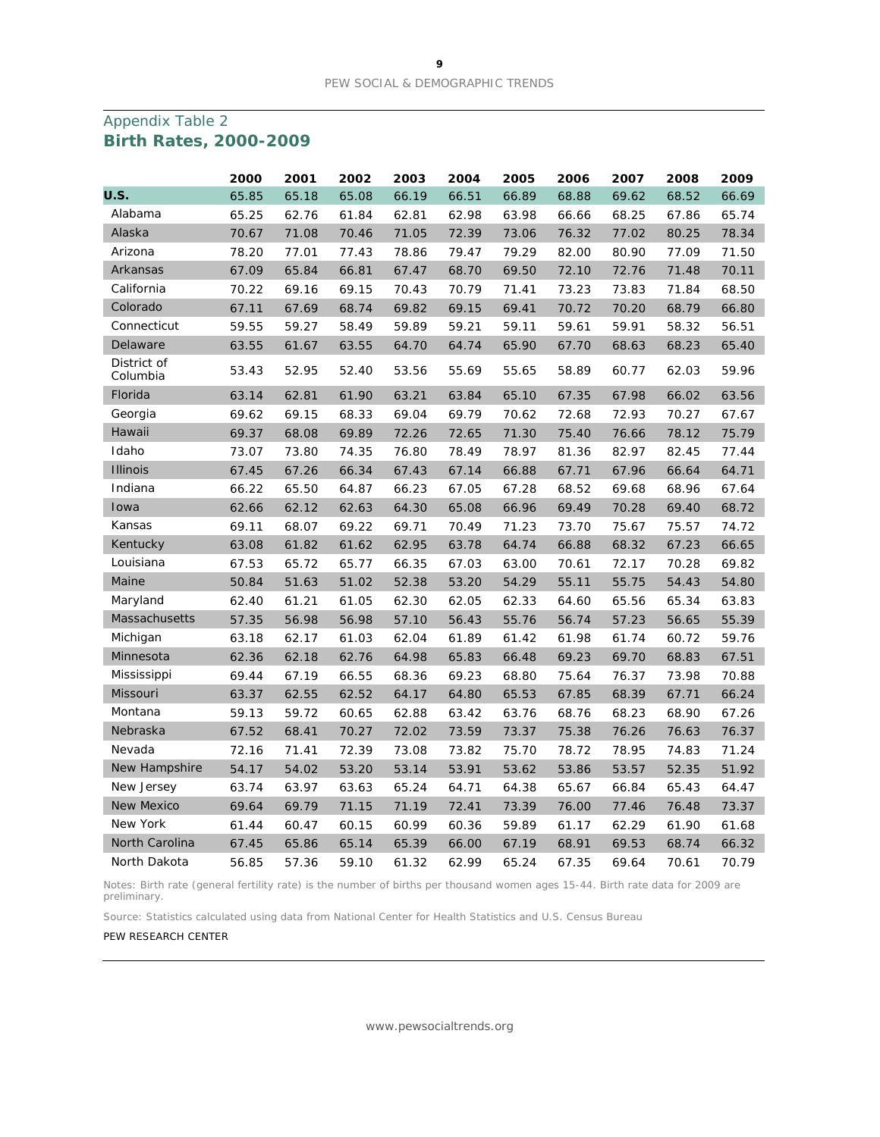## Appendix Table 2 **Birth Rates, 2000-2009**

|                         | 2000  | 2001  | 2002  | 2003  | 2004  | 2005  | 2006  | 2007  | 2008  | 2009  |
|-------------------------|-------|-------|-------|-------|-------|-------|-------|-------|-------|-------|
| U.S.                    | 65.85 | 65.18 | 65.08 | 66.19 | 66.51 | 66.89 | 68.88 | 69.62 | 68.52 | 66.69 |
| Alabama                 | 65.25 | 62.76 | 61.84 | 62.81 | 62.98 | 63.98 | 66.66 | 68.25 | 67.86 | 65.74 |
| Alaska                  | 70.67 | 71.08 | 70.46 | 71.05 | 72.39 | 73.06 | 76.32 | 77.02 | 80.25 | 78.34 |
| Arizona                 | 78.20 | 77.01 | 77.43 | 78.86 | 79.47 | 79.29 | 82.00 | 80.90 | 77.09 | 71.50 |
| Arkansas                | 67.09 | 65.84 | 66.81 | 67.47 | 68.70 | 69.50 | 72.10 | 72.76 | 71.48 | 70.11 |
| California              | 70.22 | 69.16 | 69.15 | 70.43 | 70.79 | 71.41 | 73.23 | 73.83 | 71.84 | 68.50 |
| Colorado                | 67.11 | 67.69 | 68.74 | 69.82 | 69.15 | 69.41 | 70.72 | 70.20 | 68.79 | 66.80 |
| Connecticut             | 59.55 | 59.27 | 58.49 | 59.89 | 59.21 | 59.11 | 59.61 | 59.91 | 58.32 | 56.51 |
| Delaware                | 63.55 | 61.67 | 63.55 | 64.70 | 64.74 | 65.90 | 67.70 | 68.63 | 68.23 | 65.40 |
| District of<br>Columbia | 53.43 | 52.95 | 52.40 | 53.56 | 55.69 | 55.65 | 58.89 | 60.77 | 62.03 | 59.96 |
| Florida                 | 63.14 | 62.81 | 61.90 | 63.21 | 63.84 | 65.10 | 67.35 | 67.98 | 66.02 | 63.56 |
| Georgia                 | 69.62 | 69.15 | 68.33 | 69.04 | 69.79 | 70.62 | 72.68 | 72.93 | 70.27 | 67.67 |
| Hawaii                  | 69.37 | 68.08 | 69.89 | 72.26 | 72.65 | 71.30 | 75.40 | 76.66 | 78.12 | 75.79 |
| Idaho                   | 73.07 | 73.80 | 74.35 | 76.80 | 78.49 | 78.97 | 81.36 | 82.97 | 82.45 | 77.44 |
| <b>Illinois</b>         | 67.45 | 67.26 | 66.34 | 67.43 | 67.14 | 66.88 | 67.71 | 67.96 | 66.64 | 64.71 |
| Indiana                 | 66.22 | 65.50 | 64.87 | 66.23 | 67.05 | 67.28 | 68.52 | 69.68 | 68.96 | 67.64 |
| Iowa                    | 62.66 | 62.12 | 62.63 | 64.30 | 65.08 | 66.96 | 69.49 | 70.28 | 69.40 | 68.72 |
| Kansas                  | 69.11 | 68.07 | 69.22 | 69.71 | 70.49 | 71.23 | 73.70 | 75.67 | 75.57 | 74.72 |
| Kentucky                | 63.08 | 61.82 | 61.62 | 62.95 | 63.78 | 64.74 | 66.88 | 68.32 | 67.23 | 66.65 |
| Louisiana               | 67.53 | 65.72 | 65.77 | 66.35 | 67.03 | 63.00 | 70.61 | 72.17 | 70.28 | 69.82 |
| Maine                   | 50.84 | 51.63 | 51.02 | 52.38 | 53.20 | 54.29 | 55.11 | 55.75 | 54.43 | 54.80 |
| Maryland                | 62.40 | 61.21 | 61.05 | 62.30 | 62.05 | 62.33 | 64.60 | 65.56 | 65.34 | 63.83 |
| <b>Massachusetts</b>    | 57.35 | 56.98 | 56.98 | 57.10 | 56.43 | 55.76 | 56.74 | 57.23 | 56.65 | 55.39 |
| Michigan                | 63.18 | 62.17 | 61.03 | 62.04 | 61.89 | 61.42 | 61.98 | 61.74 | 60.72 | 59.76 |
| Minnesota               | 62.36 | 62.18 | 62.76 | 64.98 | 65.83 | 66.48 | 69.23 | 69.70 | 68.83 | 67.51 |
| Mississippi             | 69.44 | 67.19 | 66.55 | 68.36 | 69.23 | 68.80 | 75.64 | 76.37 | 73.98 | 70.88 |
| Missouri                | 63.37 | 62.55 | 62.52 | 64.17 | 64.80 | 65.53 | 67.85 | 68.39 | 67.71 | 66.24 |
| Montana                 | 59.13 | 59.72 | 60.65 | 62.88 | 63.42 | 63.76 | 68.76 | 68.23 | 68.90 | 67.26 |
| Nebraska                | 67.52 | 68.41 | 70.27 | 72.02 | 73.59 | 73.37 | 75.38 | 76.26 | 76.63 | 76.37 |
| Nevada                  | 72.16 | 71.41 | 72.39 | 73.08 | 73.82 | 75.70 | 78.72 | 78.95 | 74.83 | 71.24 |
| New Hampshire           | 54.17 | 54.02 | 53.20 | 53.14 | 53.91 | 53.62 | 53.86 | 53.57 | 52.35 | 51.92 |
| New Jersey              | 63.74 | 63.97 | 63.63 | 65.24 | 64.71 | 64.38 | 65.67 | 66.84 | 65.43 | 64.47 |
| <b>New Mexico</b>       | 69.64 | 69.79 | 71.15 | 71.19 | 72.41 | 73.39 | 76.00 | 77.46 | 76.48 | 73.37 |
| New York                | 61.44 | 60.47 | 60.15 | 60.99 | 60.36 | 59.89 | 61.17 | 62.29 | 61.90 | 61.68 |
| North Carolina          | 67.45 | 65.86 | 65.14 | 65.39 | 66.00 | 67.19 | 68.91 | 69.53 | 68.74 | 66.32 |
| North Dakota            | 56.85 | 57.36 | 59.10 | 61.32 | 62.99 | 65.24 | 67.35 | 69.64 | 70.61 | 70.79 |

Notes: Birth rate (general fertility rate) is the number of births per thousand women ages 15-44. Birth rate data for 2009 are preliminary.

Source: Statistics calculated using data from National Center for Health Statistics and U.S. Census Bureau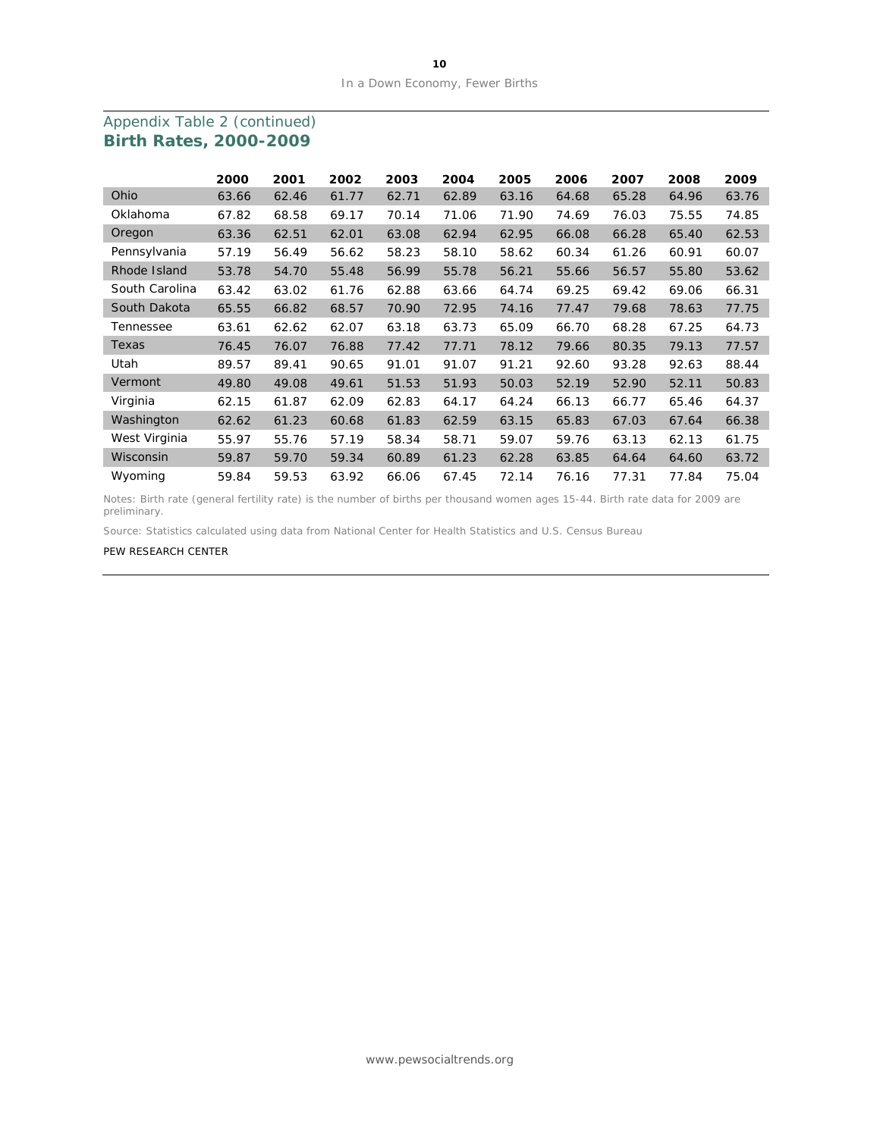|                | 2000  | 2001  | 2002  | 2003  | 2004  | 2005  | 2006  | 2007  | 2008  | 2009  |
|----------------|-------|-------|-------|-------|-------|-------|-------|-------|-------|-------|
| Ohio           | 63.66 | 62.46 | 61.77 | 62.71 | 62.89 | 63.16 | 64.68 | 65.28 | 64.96 | 63.76 |
| Oklahoma       | 67.82 | 68.58 | 69.17 | 70.14 | 71.06 | 71.90 | 74.69 | 76.03 | 75.55 | 74.85 |
| Oregon         | 63.36 | 62.51 | 62.01 | 63.08 | 62.94 | 62.95 | 66.08 | 66.28 | 65.40 | 62.53 |
| Pennsylvania   | 57.19 | 56.49 | 56.62 | 58.23 | 58.10 | 58.62 | 60.34 | 61.26 | 60.91 | 60.07 |
| Rhode Island   | 53.78 | 54.70 | 55.48 | 56.99 | 55.78 | 56.21 | 55.66 | 56.57 | 55.80 | 53.62 |
| South Carolina | 63.42 | 63.02 | 61.76 | 62.88 | 63.66 | 64.74 | 69.25 | 69.42 | 69.06 | 66.31 |
| South Dakota   | 65.55 | 66.82 | 68.57 | 70.90 | 72.95 | 74.16 | 77.47 | 79.68 | 78.63 | 77.75 |
| Tennessee      | 63.61 | 62.62 | 62.07 | 63.18 | 63.73 | 65.09 | 66.70 | 68.28 | 67.25 | 64.73 |
| Texas          | 76.45 | 76.07 | 76.88 | 77.42 | 77.71 | 78.12 | 79.66 | 80.35 | 79.13 | 77.57 |
| Utah           | 89.57 | 89.41 | 90.65 | 91.01 | 91.07 | 91.21 | 92.60 | 93.28 | 92.63 | 88.44 |
| Vermont        | 49.80 | 49.08 | 49.61 | 51.53 | 51.93 | 50.03 | 52.19 | 52.90 | 52.11 | 50.83 |
| Virginia       | 62.15 | 61.87 | 62.09 | 62.83 | 64.17 | 64.24 | 66.13 | 66.77 | 65.46 | 64.37 |
| Washington     | 62.62 | 61.23 | 60.68 | 61.83 | 62.59 | 63.15 | 65.83 | 67.03 | 67.64 | 66.38 |
| West Virginia  | 55.97 | 55.76 | 57.19 | 58.34 | 58.71 | 59.07 | 59.76 | 63.13 | 62.13 | 61.75 |
| Wisconsin      | 59.87 | 59.70 | 59.34 | 60.89 | 61.23 | 62.28 | 63.85 | 64.64 | 64.60 | 63.72 |
| Wyoming        | 59.84 | 59.53 | 63.92 | 66.06 | 67.45 | 72.14 | 76.16 | 77.31 | 77.84 | 75.04 |

### Appendix Table 2 (continued) **Birth Rates, 2000-2009**

Notes: Birth rate (general fertility rate) is the number of births per thousand women ages 15-44. Birth rate data for 2009 are preliminary.

Source: Statistics calculated using data from National Center for Health Statistics and U.S. Census Bureau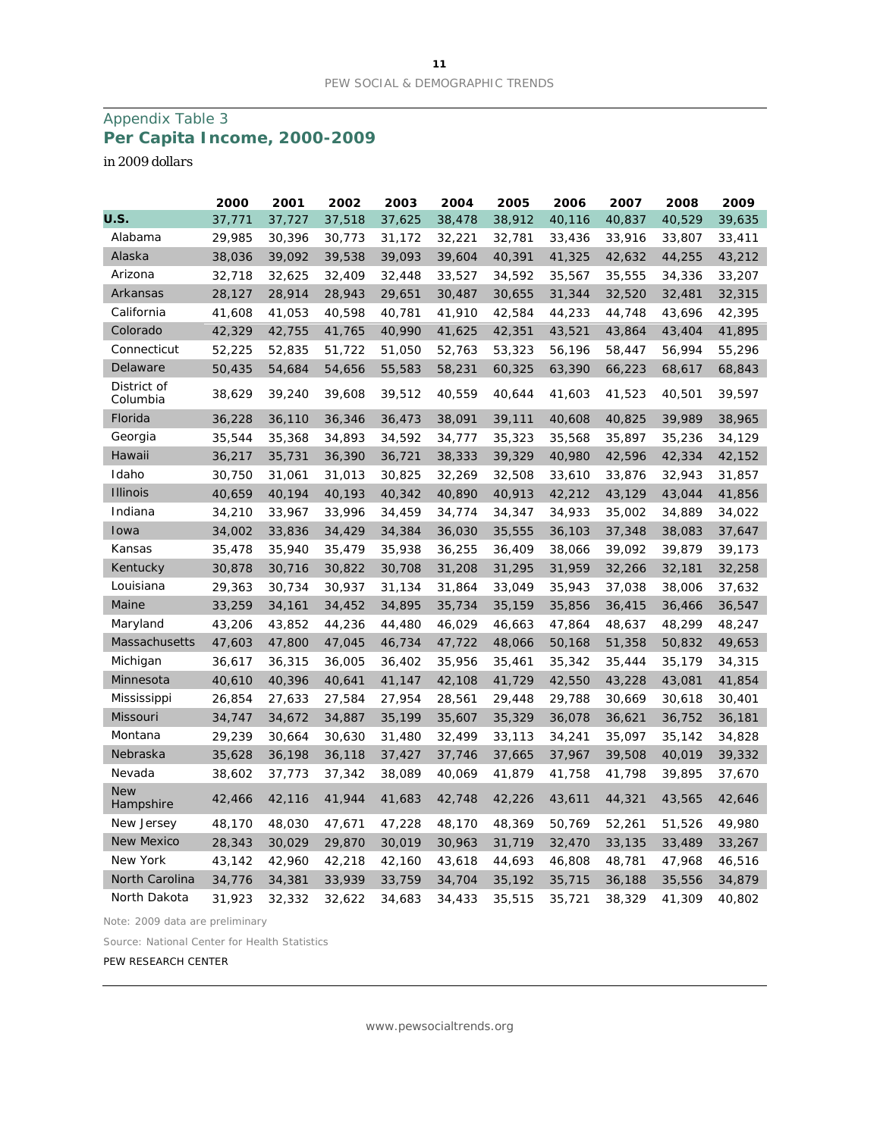# Appendix Table 3 **Per Capita Income, 2000-2009**

*in 2009 dollars*

|                         | 2000   | 2001   | 2002   | 2003   | 2004   | 2005   | 2006   | 2007   | 2008   | 2009   |
|-------------------------|--------|--------|--------|--------|--------|--------|--------|--------|--------|--------|
| U.S.                    | 37,771 | 37,727 | 37,518 | 37,625 | 38,478 | 38,912 | 40,116 | 40,837 | 40,529 | 39,635 |
| Alabama                 | 29,985 | 30,396 | 30,773 | 31,172 | 32,221 | 32,781 | 33,436 | 33,916 | 33,807 | 33,411 |
| Alaska                  | 38,036 | 39,092 | 39,538 | 39,093 | 39,604 | 40,391 | 41,325 | 42,632 | 44,255 | 43,212 |
| Arizona                 | 32,718 | 32,625 | 32,409 | 32,448 | 33,527 | 34,592 | 35,567 | 35,555 | 34,336 | 33,207 |
| Arkansas                | 28,127 | 28,914 | 28,943 | 29,651 | 30,487 | 30,655 | 31,344 | 32,520 | 32,481 | 32,315 |
| California              | 41,608 | 41,053 | 40,598 | 40,781 | 41,910 | 42,584 | 44,233 | 44,748 | 43,696 | 42,395 |
| Colorado                | 42,329 | 42,755 | 41,765 | 40,990 | 41,625 | 42,351 | 43,521 | 43,864 | 43,404 | 41,895 |
| Connecticut             | 52,225 | 52,835 | 51,722 | 51,050 | 52,763 | 53,323 | 56,196 | 58,447 | 56,994 | 55,296 |
| Delaware                | 50,435 | 54,684 | 54,656 | 55,583 | 58,231 | 60,325 | 63,390 | 66,223 | 68,617 | 68,843 |
| District of<br>Columbia | 38,629 | 39,240 | 39,608 | 39,512 | 40,559 | 40,644 | 41,603 | 41,523 | 40,501 | 39,597 |
| Florida                 | 36,228 | 36,110 | 36,346 | 36,473 | 38,091 | 39,111 | 40,608 | 40,825 | 39,989 | 38,965 |
| Georgia                 | 35,544 | 35,368 | 34,893 | 34,592 | 34,777 | 35,323 | 35,568 | 35,897 | 35,236 | 34,129 |
| Hawaii                  | 36,217 | 35,731 | 36,390 | 36,721 | 38,333 | 39,329 | 40,980 | 42,596 | 42,334 | 42,152 |
| Idaho                   | 30,750 | 31,061 | 31,013 | 30,825 | 32,269 | 32,508 | 33,610 | 33,876 | 32,943 | 31,857 |
| <b>Illinois</b>         | 40,659 | 40,194 | 40,193 | 40,342 | 40,890 | 40,913 | 42,212 | 43,129 | 43,044 | 41,856 |
| Indiana                 | 34,210 | 33,967 | 33,996 | 34,459 | 34,774 | 34,347 | 34,933 | 35,002 | 34,889 | 34,022 |
| Iowa                    | 34,002 | 33,836 | 34,429 | 34,384 | 36,030 | 35,555 | 36,103 | 37,348 | 38,083 | 37,647 |
| Kansas                  | 35,478 | 35,940 | 35,479 | 35,938 | 36,255 | 36,409 | 38,066 | 39,092 | 39,879 | 39,173 |
| Kentucky                | 30,878 | 30,716 | 30,822 | 30,708 | 31,208 | 31,295 | 31,959 | 32,266 | 32,181 | 32,258 |
| Louisiana               | 29,363 | 30,734 | 30,937 | 31,134 | 31,864 | 33,049 | 35,943 | 37,038 | 38,006 | 37,632 |
| Maine                   | 33,259 | 34,161 | 34,452 | 34,895 | 35,734 | 35,159 | 35,856 | 36,415 | 36,466 | 36,547 |
| Maryland                | 43,206 | 43,852 | 44,236 | 44,480 | 46,029 | 46,663 | 47,864 | 48,637 | 48,299 | 48,247 |
| Massachusetts           | 47,603 | 47,800 | 47,045 | 46,734 | 47,722 | 48,066 | 50,168 | 51,358 | 50,832 | 49,653 |
| Michigan                | 36,617 | 36,315 | 36,005 | 36,402 | 35,956 | 35,461 | 35,342 | 35,444 | 35,179 | 34,315 |
| Minnesota               | 40,610 | 40,396 | 40,641 | 41,147 | 42,108 | 41,729 | 42,550 | 43,228 | 43,081 | 41,854 |
| Mississippi             | 26,854 | 27,633 | 27,584 | 27,954 | 28,561 | 29,448 | 29,788 | 30,669 | 30,618 | 30,401 |
| Missouri                | 34,747 | 34,672 | 34,887 | 35,199 | 35,607 | 35,329 | 36,078 | 36,621 | 36,752 | 36,181 |
| Montana                 | 29,239 | 30,664 | 30,630 | 31,480 | 32,499 | 33,113 | 34,241 | 35,097 | 35,142 | 34,828 |
| Nebraska                | 35,628 | 36,198 | 36,118 | 37,427 | 37,746 | 37,665 | 37,967 | 39,508 | 40,019 | 39,332 |
| Nevada                  | 38,602 | 37,773 | 37,342 | 38,089 | 40,069 | 41,879 | 41,758 | 41,798 | 39,895 | 37,670 |
| <b>New</b><br>Hampshire | 42,466 | 42,116 | 41,944 | 41,683 | 42,748 | 42,226 | 43,611 | 44,321 | 43,565 | 42,646 |
| New Jersey              | 48,170 | 48,030 | 47,671 | 47,228 | 48,170 | 48,369 | 50,769 | 52,261 | 51,526 | 49,980 |
| <b>New Mexico</b>       | 28,343 | 30,029 | 29,870 | 30,019 | 30,963 | 31,719 | 32,470 | 33,135 | 33,489 | 33,267 |
| New York                | 43,142 | 42,960 | 42,218 | 42,160 | 43,618 | 44,693 | 46,808 | 48,781 | 47,968 | 46,516 |
| North Carolina          | 34,776 | 34,381 | 33,939 | 33,759 | 34,704 | 35,192 | 35,715 | 36,188 | 35,556 | 34,879 |
| North Dakota            | 31,923 | 32,332 | 32,622 | 34,683 | 34,433 | 35,515 | 35,721 | 38,329 | 41,309 | 40,802 |

Note: 2009 data are preliminary

Source: National Center for Health Statistics

PEW RESEARCH CENTER

www.pewsocialtrends.org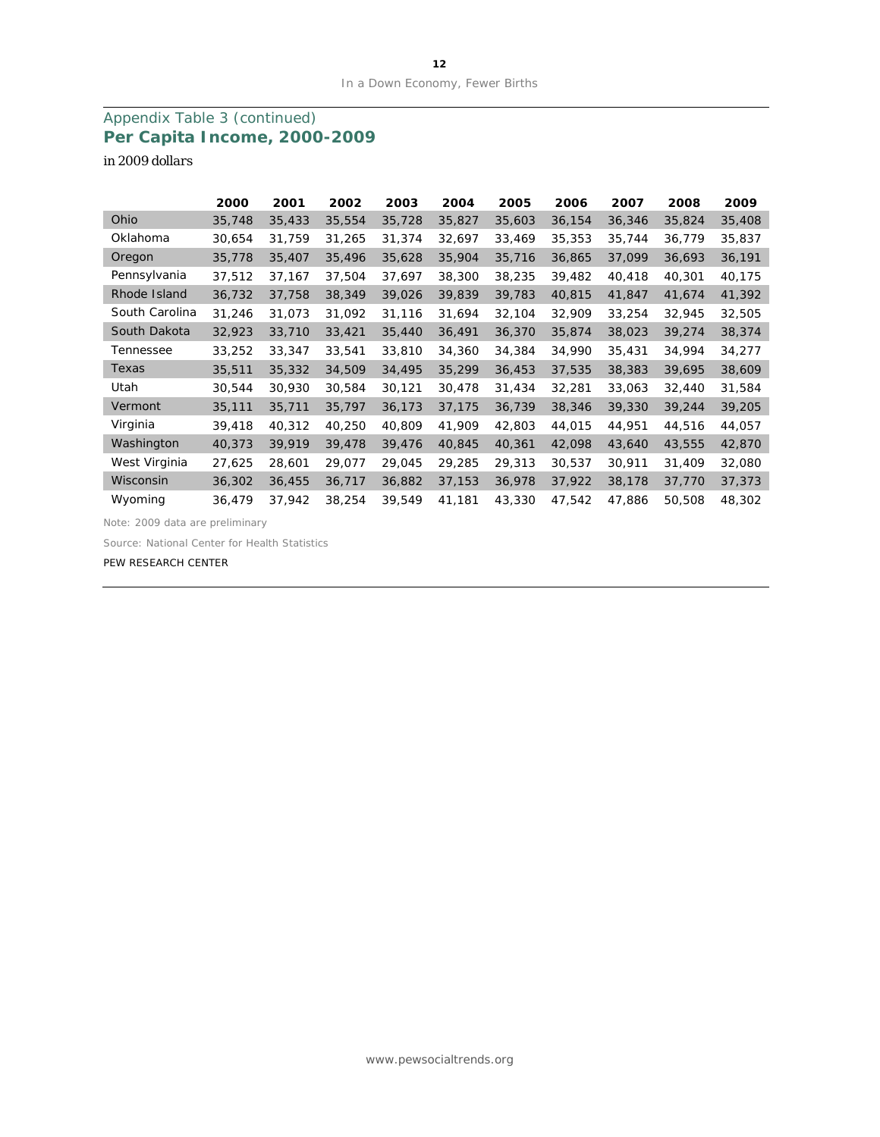# Appendix Table 3 (continued) **Per Capita Income, 2000-2009**

*in 2009 dollars*

|                | 2000   | 2001   | 2002   | 2003   | 2004   | 2005   | 2006   | 2007   | 2008   | 2009   |
|----------------|--------|--------|--------|--------|--------|--------|--------|--------|--------|--------|
| Ohio           | 35,748 | 35,433 | 35,554 | 35,728 | 35,827 | 35,603 | 36,154 | 36,346 | 35,824 | 35,408 |
| Oklahoma       | 30,654 | 31,759 | 31,265 | 31,374 | 32,697 | 33,469 | 35,353 | 35,744 | 36,779 | 35,837 |
| Oregon         | 35,778 | 35,407 | 35,496 | 35,628 | 35,904 | 35,716 | 36,865 | 37,099 | 36,693 | 36,191 |
| Pennsylvania   | 37,512 | 37,167 | 37,504 | 37,697 | 38,300 | 38,235 | 39,482 | 40,418 | 40,301 | 40,175 |
| Rhode Island   | 36,732 | 37,758 | 38,349 | 39,026 | 39,839 | 39,783 | 40,815 | 41,847 | 41,674 | 41,392 |
| South Carolina | 31,246 | 31,073 | 31,092 | 31,116 | 31,694 | 32,104 | 32,909 | 33,254 | 32,945 | 32,505 |
| South Dakota   | 32,923 | 33,710 | 33,421 | 35,440 | 36,491 | 36,370 | 35,874 | 38,023 | 39,274 | 38,374 |
| Tennessee      | 33,252 | 33,347 | 33,541 | 33,810 | 34,360 | 34,384 | 34,990 | 35,431 | 34,994 | 34,277 |
| Texas          | 35,511 | 35,332 | 34,509 | 34,495 | 35,299 | 36,453 | 37,535 | 38,383 | 39,695 | 38,609 |
| Utah           | 30,544 | 30,930 | 30,584 | 30,121 | 30,478 | 31,434 | 32,281 | 33,063 | 32,440 | 31,584 |
| Vermont        | 35,111 | 35,711 | 35,797 | 36,173 | 37,175 | 36,739 | 38,346 | 39,330 | 39,244 | 39,205 |
| Virginia       | 39,418 | 40,312 | 40,250 | 40,809 | 41,909 | 42,803 | 44,015 | 44,951 | 44,516 | 44,057 |
| Washington     | 40,373 | 39,919 | 39,478 | 39,476 | 40,845 | 40,361 | 42,098 | 43,640 | 43,555 | 42,870 |
| West Virginia  | 27,625 | 28,601 | 29,077 | 29,045 | 29,285 | 29,313 | 30,537 | 30,911 | 31,409 | 32,080 |
| Wisconsin      | 36,302 | 36,455 | 36,717 | 36,882 | 37,153 | 36,978 | 37,922 | 38,178 | 37,770 | 37,373 |
| Wyoming        | 36,479 | 37,942 | 38,254 | 39,549 | 41,181 | 43,330 | 47,542 | 47,886 | 50,508 | 48,302 |

Note: 2009 data are preliminary

Source: National Center for Health Statistics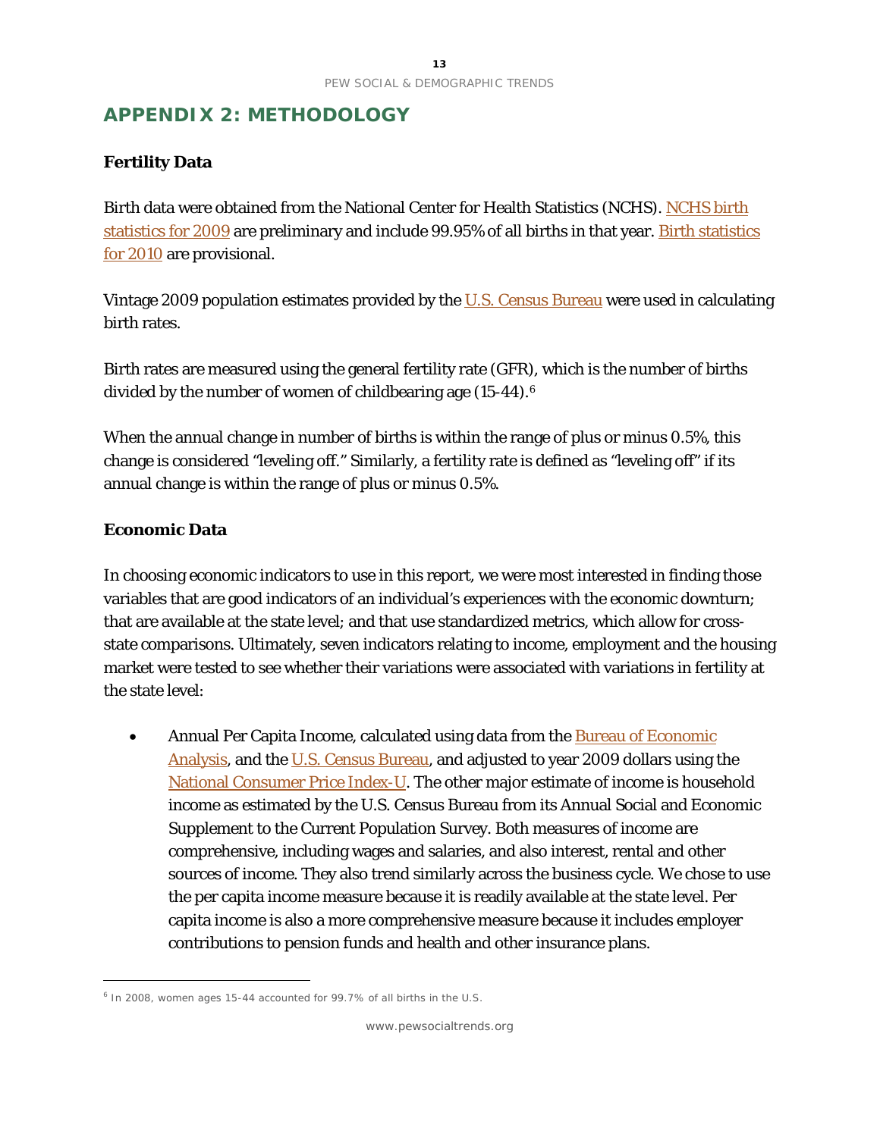# **APPENDIX 2: METHODOLOGY**

# **Fertility Data**

Birth data were obtained from the National Center for Health Statistics (NCHS). [NCHS birth](http://www.cdc.gov/nchs/data/nvsr/nvsr59/nvsr59_03.pdf)  [statistics for 2009](http://www.cdc.gov/nchs/data/nvsr/nvsr59/nvsr59_03.pdf) are preliminary and include 99.95% of all births in that year. [Birth statistics](http://www.cdc.gov/nchs/data/hestat/births_fertility_2010/births_fertility_2010.htm)  [for 2010](http://www.cdc.gov/nchs/data/hestat/births_fertility_2010/births_fertility_2010.htm) are provisional.

Vintage 2009 population estimates provided by the [U.S. Census Bureau](http://www.census.gov/popest/states/asrh/stasrh.html) were used in calculating birth rates.

Birth rates are measured using the general fertility rate (GFR), which is the number of births divided by the number of women of childbearing age (15-44).[6](#page-13-0)

When the annual change in number of births is within the range of plus or minus 0.5%, this change is considered "leveling off." Similarly, a fertility rate is defined as "leveling off" if its annual change is within the range of plus or minus 0.5%.

### **Economic Data**

 $\overline{a}$ 

In choosing economic indicators to use in this report, we were most interested in finding those variables that are good indicators of an individual's experiences with the economic downturn; that are available at the state level; and that use standardized metrics, which allow for crossstate comparisons. Ultimately, seven indicators relating to income, employment and the housing market were tested to see whether their variations were associated with variations in fertility at the state level:

• Annual Per Capita Income, calculated using data from the **Bureau of Economic** [Analysis,](http://www.bea.gov/regional/spi/) and the [U.S. Census Bureau,](http://www.census.gov/popest/states/asrh/stasrh.html) and adjusted to year 2009 dollars using the [National Consumer Price Index-U.](ftp://ftp.bls.gov/pub/special.requests/cpi/cpiai.txt) The other major estimate of income is household income as estimated by the U.S. Census Bureau from its Annual Social and Economic Supplement to the Current Population Survey. Both measures of income are comprehensive, including wages and salaries, and also interest, rental and other sources of income. They also trend similarly across the business cycle. We chose to use the per capita income measure because it is readily available at the state level. Per capita income is also a more comprehensive measure because it includes employer contributions to pension funds and health and other insurance plans.

<span id="page-13-0"></span><sup>&</sup>lt;sup>6</sup> In 2008, women ages 15-44 accounted for 99.7% of all births in the U.S.